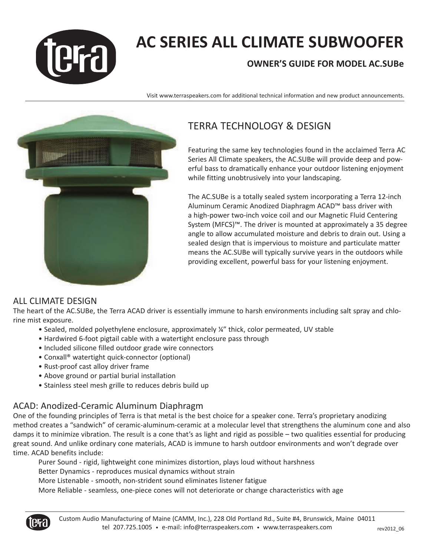

# **AC SERIES ALL CLIMATE SUBWOOFER**

# **OWNER'S GUIDE FOR MODEL AC.SUBe**

Visit www.terraspeakers.com for additional technical information and new product announcements.



# TERRA TECHNOLOGY & DESIGN

Featuring the same key technologies found in the acclaimed Terra AC Series All Climate speakers, the AC.SUBe will provide deep and powerful bass to dramatically enhance your outdoor listening enjoyment while fitting unobtrusively into your landscaping.

The AC.SUBe is a totally sealed system incorporating a Terra 12-inch Aluminum Ceramic Anodized Diaphragm ACAD™ bass driver with a high-power two-inch voice coil and our Magnetic Fluid Centering System (MFCS)™. The driver is mounted at approximately a 35 degree angle to allow accumulated moisture and debris to drain out. Using a sealed design that is impervious to moisture and particulate matter means the AC.SUBe will typically survive years in the outdoors while providing excellent, powerful bass for your listening enjoyment.

# ALL CLIMATE DESIGN

The heart of the AC.SUBe, the Terra ACAD driver is essentially immune to harsh environments including salt spray and chlorine mist exposure.

- Sealed, molded polyethylene enclosure, approximately ¼" thick, color permeated, UV stable
- Hardwired 6-foot pigtail cable with a watertight enclosure pass through
- Included silicone filled outdoor grade wire connectors
- Conxall® watertight quick-connector (optional)
- Rust-proof cast alloy driver frame
- Above ground or partial burial installation
- Stainless steel mesh grille to reduces debris build up

# ACAD: Anodized-Ceramic Aluminum Diaphragm

One of the founding principles of Terra is that metal is the best choice for a speaker cone. Terra's proprietary anodizing method creates a "sandwich" of ceramic-aluminum-ceramic at a molecular level that strengthens the aluminum cone and also damps it to minimize vibration. The result is a cone that's as light and rigid as possible – two qualities essential for producing great sound. And unlike ordinary cone materials, ACAD is immune to harsh outdoor environments and won't degrade over time. ACAD benefits include:

Purer Sound - rigid, lightweight cone minimizes distortion, plays loud without harshness Better Dynamics - reproduces musical dynamics without strain More Listenable - smooth, non-strident sound eliminates listener fatigue More Reliable - seamless, one-piece cones will not deteriorate or change characteristics with age